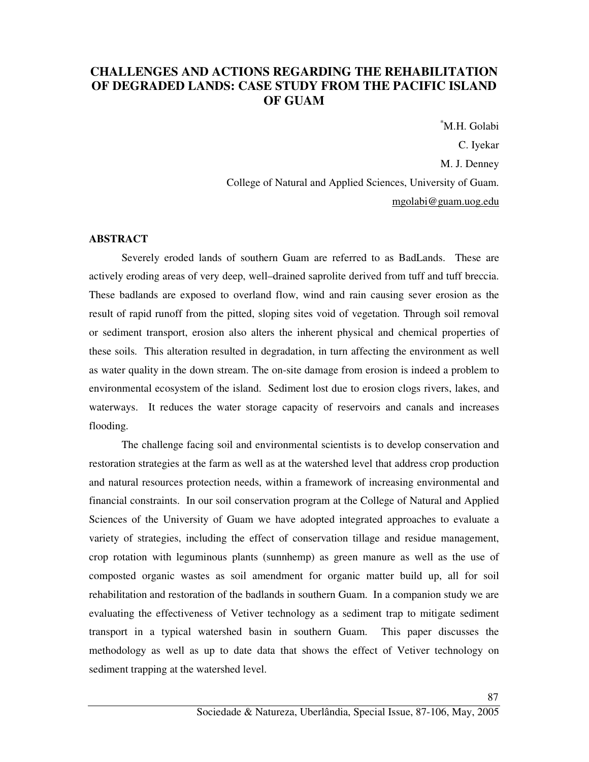# **CHALLENGES AND ACTIONS REGARDING THE REHABILITATION OF DEGRADED LANDS: CASE STUDY FROM THE PACIFIC ISLAND OF GUAM**

\*M.H. Golabi C. Iyekar M. J. Denney College of Natural and Applied Sciences, University of Guam. mgolabi@guam.uog.edu

## **ABSTRACT**

Severely eroded lands of southern Guam are referred to as BadLands. These are actively eroding areas of very deep, well–drained saprolite derived from tuff and tuff breccia. These badlands are exposed to overland flow, wind and rain causing sever erosion as the result of rapid runoff from the pitted, sloping sites void of vegetation. Through soil removal or sediment transport, erosion also alters the inherent physical and chemical properties of these soils. This alteration resulted in degradation, in turn affecting the environment as well as water quality in the down stream. The on-site damage from erosion is indeed a problem to environmental ecosystem of the island. Sediment lost due to erosion clogs rivers, lakes, and waterways. It reduces the water storage capacity of reservoirs and canals and increases flooding.

The challenge facing soil and environmental scientists is to develop conservation and restoration strategies at the farm as well as at the watershed level that address crop production and natural resources protection needs, within a framework of increasing environmental and financial constraints. In our soil conservation program at the College of Natural and Applied Sciences of the University of Guam we have adopted integrated approaches to evaluate a variety of strategies, including the effect of conservation tillage and residue management, crop rotation with leguminous plants (sunnhemp) as green manure as well as the use of composted organic wastes as soil amendment for organic matter build up, all for soil rehabilitation and restoration of the badlands in southern Guam. In a companion study we are evaluating the effectiveness of Vetiver technology as a sediment trap to mitigate sediment transport in a typical watershed basin in southern Guam. This paper discusses the methodology as well as up to date data that shows the effect of Vetiver technology on sediment trapping at the watershed level.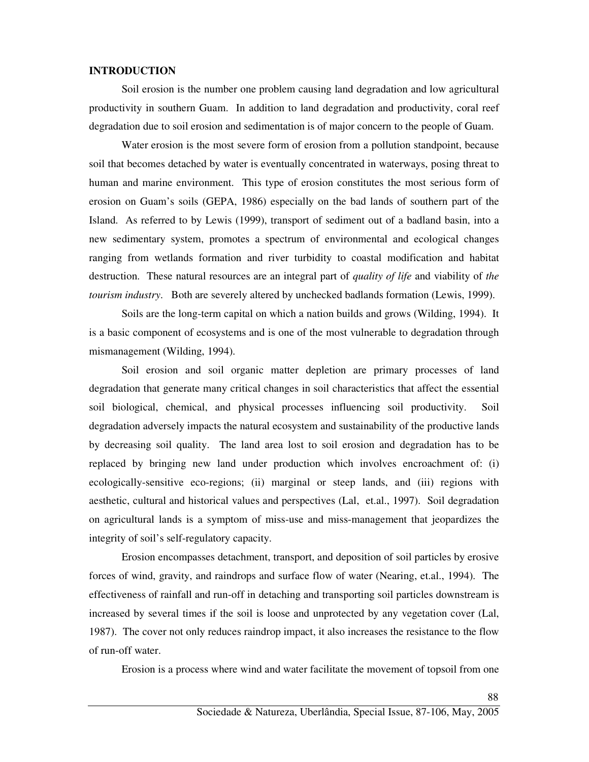#### **INTRODUCTION**

Soil erosion is the number one problem causing land degradation and low agricultural productivity in southern Guam. In addition to land degradation and productivity, coral reef degradation due to soil erosion and sedimentation is of major concern to the people of Guam.

Water erosion is the most severe form of erosion from a pollution standpoint, because soil that becomes detached by water is eventually concentrated in waterways, posing threat to human and marine environment. This type of erosion constitutes the most serious form of erosion on Guam's soils (GEPA, 1986) especially on the bad lands of southern part of the Island. As referred to by Lewis (1999), transport of sediment out of a badland basin, into a new sedimentary system, promotes a spectrum of environmental and ecological changes ranging from wetlands formation and river turbidity to coastal modification and habitat destruction. These natural resources are an integral part of *quality of life* and viability of *the tourism industry*. Both are severely altered by unchecked badlands formation (Lewis, 1999).

Soils are the long-term capital on which a nation builds and grows (Wilding, 1994). It is a basic component of ecosystems and is one of the most vulnerable to degradation through mismanagement (Wilding, 1994).

Soil erosion and soil organic matter depletion are primary processes of land degradation that generate many critical changes in soil characteristics that affect the essential soil biological, chemical, and physical processes influencing soil productivity. Soil degradation adversely impacts the natural ecosystem and sustainability of the productive lands by decreasing soil quality. The land area lost to soil erosion and degradation has to be replaced by bringing new land under production which involves encroachment of: (i) ecologically-sensitive eco-regions; (ii) marginal or steep lands, and (iii) regions with aesthetic, cultural and historical values and perspectives (Lal, et.al., 1997). Soil degradation on agricultural lands is a symptom of miss-use and miss-management that jeopardizes the integrity of soil's self-regulatory capacity.

Erosion encompasses detachment, transport, and deposition of soil particles by erosive forces of wind, gravity, and raindrops and surface flow of water (Nearing, et.al., 1994). The effectiveness of rainfall and run-off in detaching and transporting soil particles downstream is increased by several times if the soil is loose and unprotected by any vegetation cover (Lal, 1987). The cover not only reduces raindrop impact, it also increases the resistance to the flow of run-off water.

Erosion is a process where wind and water facilitate the movement of topsoil from one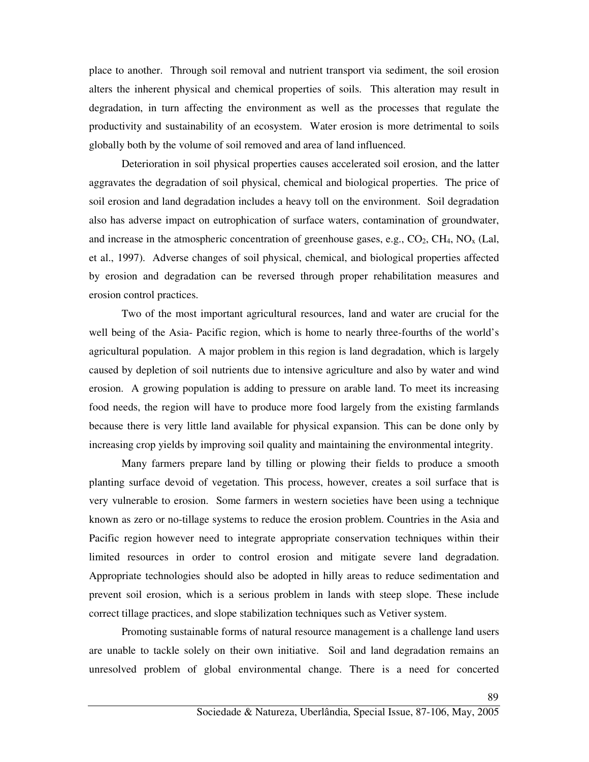place to another. Through soil removal and nutrient transport via sediment, the soil erosion alters the inherent physical and chemical properties of soils. This alteration may result in degradation, in turn affecting the environment as well as the processes that regulate the productivity and sustainability of an ecosystem. Water erosion is more detrimental to soils globally both by the volume of soil removed and area of land influenced.

Deterioration in soil physical properties causes accelerated soil erosion, and the latter aggravates the degradation of soil physical, chemical and biological properties. The price of soil erosion and land degradation includes a heavy toll on the environment. Soil degradation also has adverse impact on eutrophication of surface waters, contamination of groundwater, and increase in the atmospheric concentration of greenhouse gases, e.g.,  $CO_2$ ,  $CH_4$ ,  $NO_x$  (Lal, et al., 1997). Adverse changes of soil physical, chemical, and biological properties affected by erosion and degradation can be reversed through proper rehabilitation measures and erosion control practices.

Two of the most important agricultural resources, land and water are crucial for the well being of the Asia- Pacific region, which is home to nearly three-fourths of the world's agricultural population. A major problem in this region is land degradation, which is largely caused by depletion of soil nutrients due to intensive agriculture and also by water and wind erosion. A growing population is adding to pressure on arable land. To meet its increasing food needs, the region will have to produce more food largely from the existing farmlands because there is very little land available for physical expansion. This can be done only by increasing crop yields by improving soil quality and maintaining the environmental integrity.

Many farmers prepare land by tilling or plowing their fields to produce a smooth planting surface devoid of vegetation. This process, however, creates a soil surface that is very vulnerable to erosion. Some farmers in western societies have been using a technique known as zero or no-tillage systems to reduce the erosion problem. Countries in the Asia and Pacific region however need to integrate appropriate conservation techniques within their limited resources in order to control erosion and mitigate severe land degradation. Appropriate technologies should also be adopted in hilly areas to reduce sedimentation and prevent soil erosion, which is a serious problem in lands with steep slope. These include correct tillage practices, and slope stabilization techniques such as Vetiver system.

Promoting sustainable forms of natural resource management is a challenge land users are unable to tackle solely on their own initiative. Soil and land degradation remains an unresolved problem of global environmental change. There is a need for concerted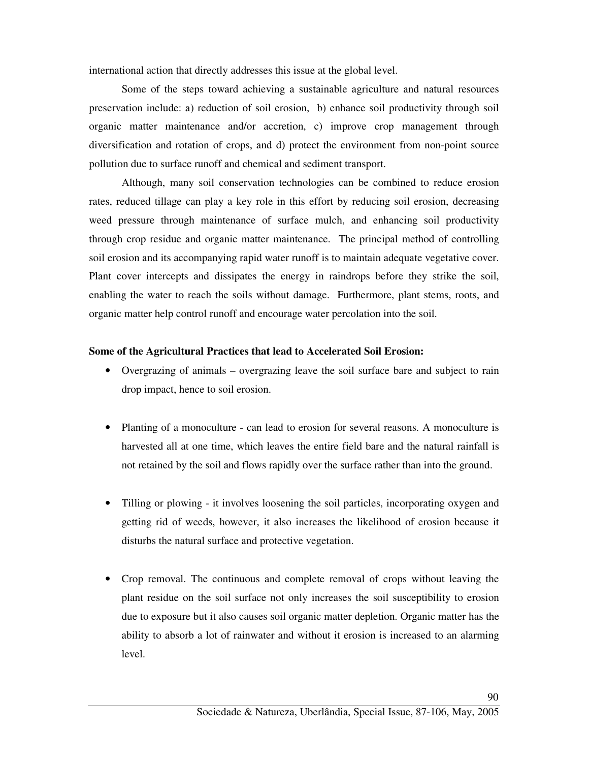international action that directly addresses this issue at the global level.

Some of the steps toward achieving a sustainable agriculture and natural resources preservation include: a) reduction of soil erosion, b) enhance soil productivity through soil organic matter maintenance and/or accretion, c) improve crop management through diversification and rotation of crops, and d) protect the environment from non-point source pollution due to surface runoff and chemical and sediment transport.

Although, many soil conservation technologies can be combined to reduce erosion rates, reduced tillage can play a key role in this effort by reducing soil erosion, decreasing weed pressure through maintenance of surface mulch, and enhancing soil productivity through crop residue and organic matter maintenance. The principal method of controlling soil erosion and its accompanying rapid water runoff is to maintain adequate vegetative cover. Plant cover intercepts and dissipates the energy in raindrops before they strike the soil, enabling the water to reach the soils without damage. Furthermore, plant stems, roots, and organic matter help control runoff and encourage water percolation into the soil.

## **Some of the Agricultural Practices that lead to Accelerated Soil Erosion:**

- Overgrazing of animals overgrazing leave the soil surface bare and subject to rain drop impact, hence to soil erosion.
- Planting of a monoculture can lead to erosion for several reasons. A monoculture is harvested all at one time, which leaves the entire field bare and the natural rainfall is not retained by the soil and flows rapidly over the surface rather than into the ground.
- Tilling or plowing it involves loosening the soil particles, incorporating oxygen and getting rid of weeds, however, it also increases the likelihood of erosion because it disturbs the natural surface and protective vegetation.
- Crop removal. The continuous and complete removal of crops without leaving the plant residue on the soil surface not only increases the soil susceptibility to erosion due to exposure but it also causes soil organic matter depletion. Organic matter has the ability to absorb a lot of rainwater and without it erosion is increased to an alarming level.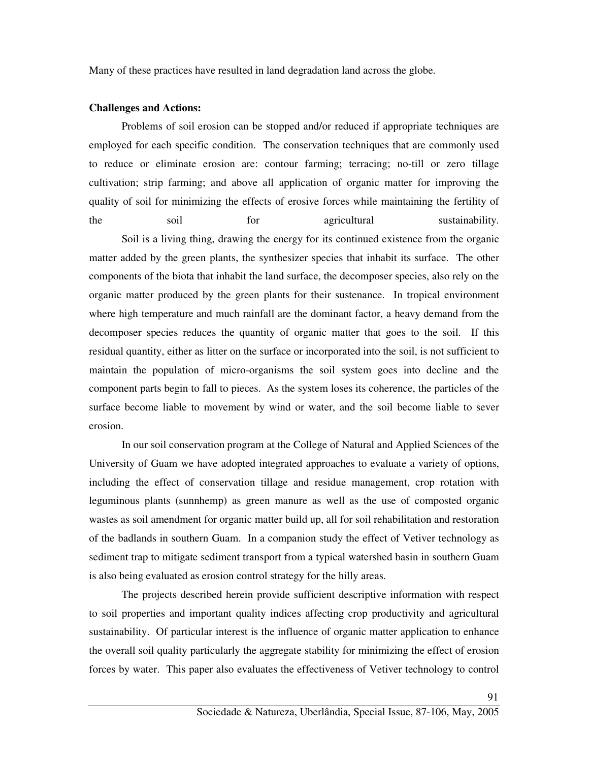Many of these practices have resulted in land degradation land across the globe.

## **Challenges and Actions:**

Problems of soil erosion can be stopped and/or reduced if appropriate techniques are employed for each specific condition. The conservation techniques that are commonly used to reduce or eliminate erosion are: contour farming; terracing; no-till or zero tillage cultivation; strip farming; and above all application of organic matter for improving the quality of soil for minimizing the effects of erosive forces while maintaining the fertility of the soil for agricultural sustainability. Soil is a living thing, drawing the energy for its continued existence from the organic matter added by the green plants, the synthesizer species that inhabit its surface. The other components of the biota that inhabit the land surface, the decomposer species, also rely on the organic matter produced by the green plants for their sustenance. In tropical environment where high temperature and much rainfall are the dominant factor, a heavy demand from the decomposer species reduces the quantity of organic matter that goes to the soil. If this residual quantity, either as litter on the surface or incorporated into the soil, is not sufficient to maintain the population of micro-organisms the soil system goes into decline and the component parts begin to fall to pieces. As the system loses its coherence, the particles of the surface become liable to movement by wind or water, and the soil become liable to sever erosion.

In our soil conservation program at the College of Natural and Applied Sciences of the University of Guam we have adopted integrated approaches to evaluate a variety of options, including the effect of conservation tillage and residue management, crop rotation with leguminous plants (sunnhemp) as green manure as well as the use of composted organic wastes as soil amendment for organic matter build up, all for soil rehabilitation and restoration of the badlands in southern Guam. In a companion study the effect of Vetiver technology as sediment trap to mitigate sediment transport from a typical watershed basin in southern Guam is also being evaluated as erosion control strategy for the hilly areas.

The projects described herein provide sufficient descriptive information with respect to soil properties and important quality indices affecting crop productivity and agricultural sustainability. Of particular interest is the influence of organic matter application to enhance the overall soil quality particularly the aggregate stability for minimizing the effect of erosion forces by water. This paper also evaluates the effectiveness of Vetiver technology to control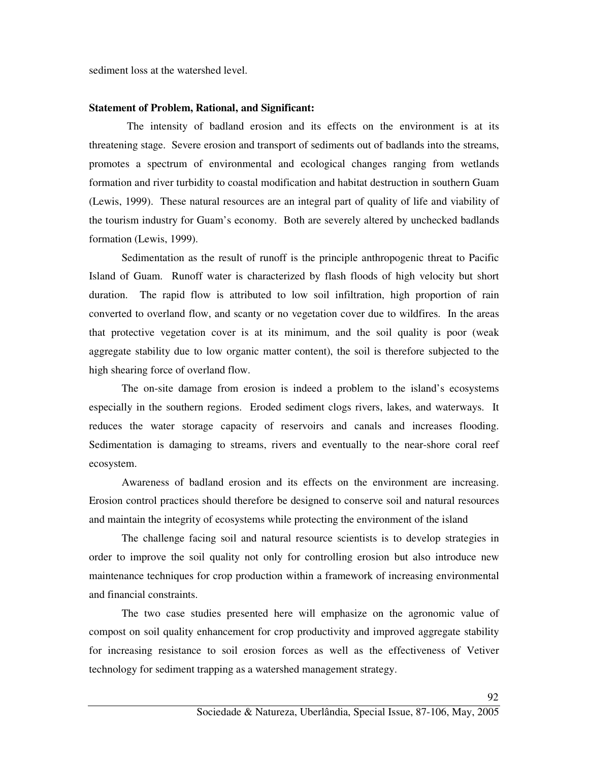sediment loss at the watershed level.

#### **Statement of Problem, Rational, and Significant:**

 The intensity of badland erosion and its effects on the environment is at its threatening stage. Severe erosion and transport of sediments out of badlands into the streams, promotes a spectrum of environmental and ecological changes ranging from wetlands formation and river turbidity to coastal modification and habitat destruction in southern Guam (Lewis, 1999). These natural resources are an integral part of quality of life and viability of the tourism industry for Guam's economy. Both are severely altered by unchecked badlands formation (Lewis, 1999).

Sedimentation as the result of runoff is the principle anthropogenic threat to Pacific Island of Guam. Runoff water is characterized by flash floods of high velocity but short duration. The rapid flow is attributed to low soil infiltration, high proportion of rain converted to overland flow, and scanty or no vegetation cover due to wildfires. In the areas that protective vegetation cover is at its minimum, and the soil quality is poor (weak aggregate stability due to low organic matter content), the soil is therefore subjected to the high shearing force of overland flow.

 The on-site damage from erosion is indeed a problem to the island's ecosystems especially in the southern regions. Eroded sediment clogs rivers, lakes, and waterways. It reduces the water storage capacity of reservoirs and canals and increases flooding. Sedimentation is damaging to streams, rivers and eventually to the near-shore coral reef ecosystem.

Awareness of badland erosion and its effects on the environment are increasing. Erosion control practices should therefore be designed to conserve soil and natural resources and maintain the integrity of ecosystems while protecting the environment of the island

 The challenge facing soil and natural resource scientists is to develop strategies in order to improve the soil quality not only for controlling erosion but also introduce new maintenance techniques for crop production within a framework of increasing environmental and financial constraints.

The two case studies presented here will emphasize on the agronomic value of compost on soil quality enhancement for crop productivity and improved aggregate stability for increasing resistance to soil erosion forces as well as the effectiveness of Vetiver technology for sediment trapping as a watershed management strategy.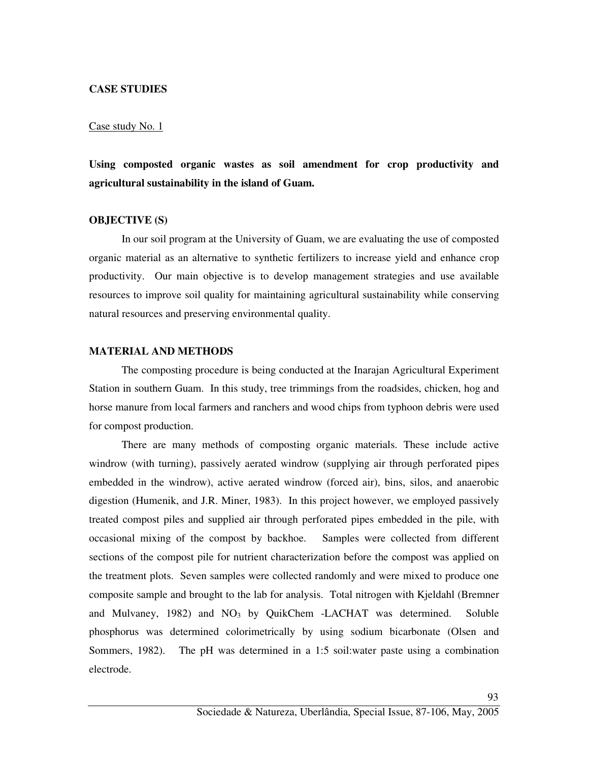## **CASE STUDIES**

#### Case study No. 1

**Using composted organic wastes as soil amendment for crop productivity and agricultural sustainability in the island of Guam.** 

#### **OBJECTIVE (S)**

In our soil program at the University of Guam, we are evaluating the use of composted organic material as an alternative to synthetic fertilizers to increase yield and enhance crop productivity. Our main objective is to develop management strategies and use available resources to improve soil quality for maintaining agricultural sustainability while conserving natural resources and preserving environmental quality.

## **MATERIAL AND METHODS**

The composting procedure is being conducted at the Inarajan Agricultural Experiment Station in southern Guam. In this study, tree trimmings from the roadsides, chicken, hog and horse manure from local farmers and ranchers and wood chips from typhoon debris were used for compost production.

There are many methods of composting organic materials. These include active windrow (with turning), passively aerated windrow (supplying air through perforated pipes embedded in the windrow), active aerated windrow (forced air), bins, silos, and anaerobic digestion (Humenik, and J.R. Miner, 1983). In this project however, we employed passively treated compost piles and supplied air through perforated pipes embedded in the pile, with occasional mixing of the compost by backhoe. Samples were collected from different sections of the compost pile for nutrient characterization before the compost was applied on the treatment plots. Seven samples were collected randomly and were mixed to produce one composite sample and brought to the lab for analysis. Total nitrogen with Kjeldahl (Bremner and Mulvaney, 1982) and  $NO<sub>3</sub>$  by QuikChem -LACHAT was determined. Soluble phosphorus was determined colorimetrically by using sodium bicarbonate (Olsen and Sommers, 1982). The pH was determined in a 1:5 soil:water paste using a combination electrode.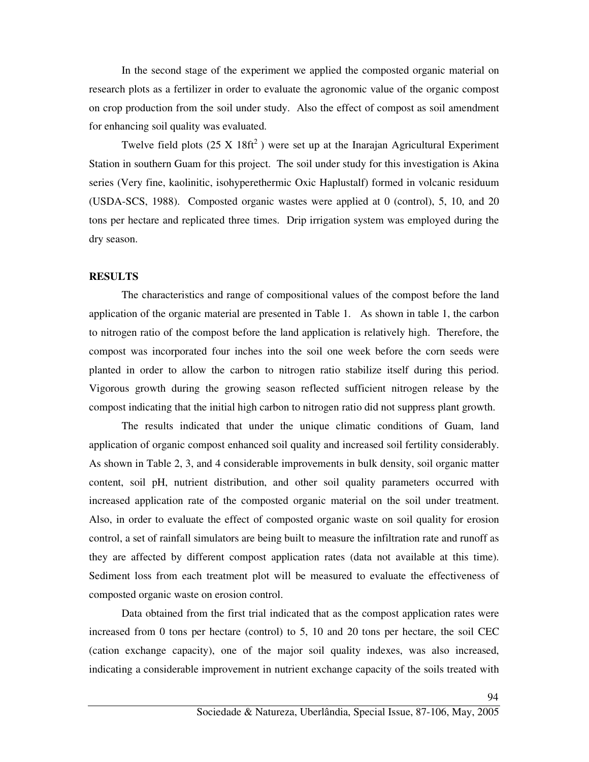In the second stage of the experiment we applied the composted organic material on research plots as a fertilizer in order to evaluate the agronomic value of the organic compost on crop production from the soil under study. Also the effect of compost as soil amendment for enhancing soil quality was evaluated.

Twelve field plots  $(25 \text{ X} 18 \text{ ft}^2)$  were set up at the Inarajan Agricultural Experiment Station in southern Guam for this project. The soil under study for this investigation is Akina series (Very fine, kaolinitic, isohyperethermic Oxic Haplustalf) formed in volcanic residuum (USDA-SCS, 1988). Composted organic wastes were applied at 0 (control), 5, 10, and 20 tons per hectare and replicated three times. Drip irrigation system was employed during the dry season.

#### **RESULTS**

The characteristics and range of compositional values of the compost before the land application of the organic material are presented in Table 1. As shown in table 1, the carbon to nitrogen ratio of the compost before the land application is relatively high. Therefore, the compost was incorporated four inches into the soil one week before the corn seeds were planted in order to allow the carbon to nitrogen ratio stabilize itself during this period. Vigorous growth during the growing season reflected sufficient nitrogen release by the compost indicating that the initial high carbon to nitrogen ratio did not suppress plant growth.

The results indicated that under the unique climatic conditions of Guam, land application of organic compost enhanced soil quality and increased soil fertility considerably. As shown in Table 2, 3, and 4 considerable improvements in bulk density, soil organic matter content, soil pH, nutrient distribution, and other soil quality parameters occurred with increased application rate of the composted organic material on the soil under treatment. Also, in order to evaluate the effect of composted organic waste on soil quality for erosion control, a set of rainfall simulators are being built to measure the infiltration rate and runoff as they are affected by different compost application rates (data not available at this time). Sediment loss from each treatment plot will be measured to evaluate the effectiveness of composted organic waste on erosion control.

 Data obtained from the first trial indicated that as the compost application rates were increased from 0 tons per hectare (control) to 5, 10 and 20 tons per hectare, the soil CEC (cation exchange capacity), one of the major soil quality indexes, was also increased, indicating a considerable improvement in nutrient exchange capacity of the soils treated with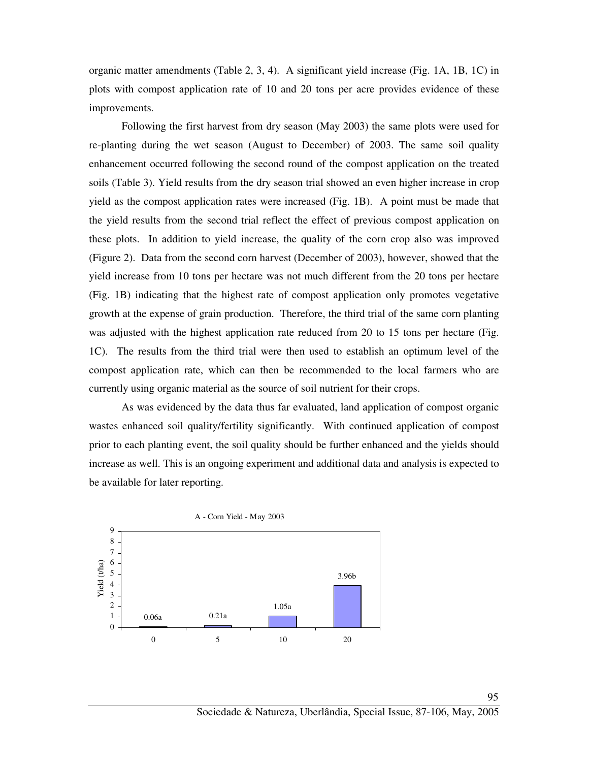organic matter amendments (Table 2, 3, 4). A significant yield increase (Fig. 1A, 1B, 1C) in plots with compost application rate of 10 and 20 tons per acre provides evidence of these improvements.

 Following the first harvest from dry season (May 2003) the same plots were used for re-planting during the wet season (August to December) of 2003. The same soil quality enhancement occurred following the second round of the compost application on the treated soils (Table 3). Yield results from the dry season trial showed an even higher increase in crop yield as the compost application rates were increased (Fig. 1B). A point must be made that the yield results from the second trial reflect the effect of previous compost application on these plots. In addition to yield increase, the quality of the corn crop also was improved (Figure 2). Data from the second corn harvest (December of 2003), however, showed that the yield increase from 10 tons per hectare was not much different from the 20 tons per hectare (Fig. 1B) indicating that the highest rate of compost application only promotes vegetative growth at the expense of grain production. Therefore, the third trial of the same corn planting was adjusted with the highest application rate reduced from 20 to 15 tons per hectare (Fig. 1C). The results from the third trial were then used to establish an optimum level of the compost application rate, which can then be recommended to the local farmers who are currently using organic material as the source of soil nutrient for their crops.

 As was evidenced by the data thus far evaluated, land application of compost organic wastes enhanced soil quality/fertility significantly. With continued application of compost prior to each planting event, the soil quality should be further enhanced and the yields should increase as well. This is an ongoing experiment and additional data and analysis is expected to be available for later reporting.

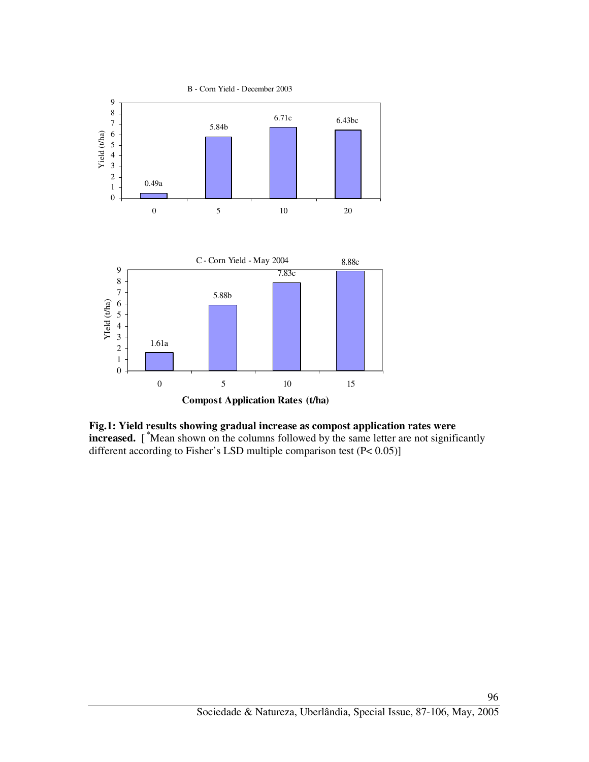

**Fig.1: Yield results showing gradual increase as compost application rates were increased.** [<sup>\*</sup>Mean shown on the columns followed by the same letter are not significantly different according to Fisher's LSD multiple comparison test  $(P< 0.05)$ ]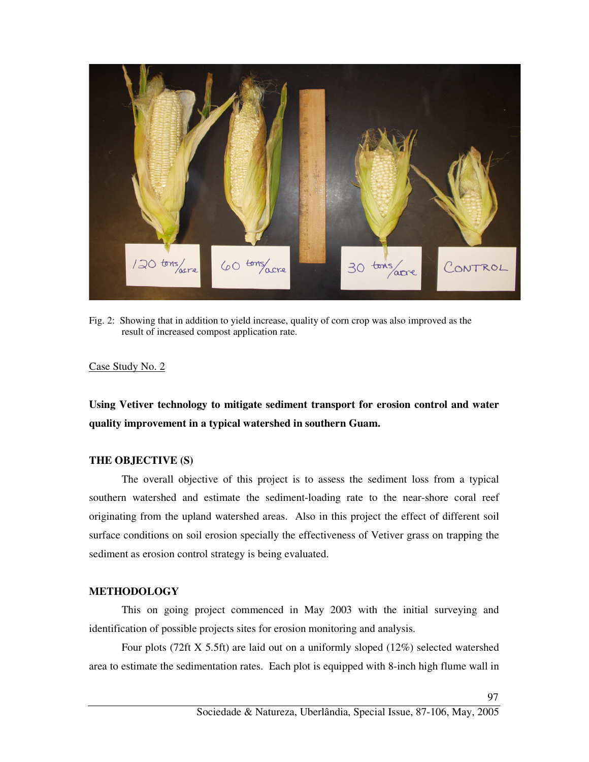

Fig. 2: Showing that in addition to yield increase, quality of corn crop was also improved as the result of increased compost application rate.

Case Study No. 2

**Using Vetiver technology to mitigate sediment transport for erosion control and water quality improvement in a typical watershed in southern Guam.** 

## **THE OBJECTIVE (S)**

 The overall objective of this project is to assess the sediment loss from a typical southern watershed and estimate the sediment-loading rate to the near-shore coral reef originating from the upland watershed areas. Also in this project the effect of different soil surface conditions on soil erosion specially the effectiveness of Vetiver grass on trapping the sediment as erosion control strategy is being evaluated.

#### **METHODOLOGY**

This on going project commenced in May 2003 with the initial surveying and identification of possible projects sites for erosion monitoring and analysis.

 Four plots (72ft X 5.5ft) are laid out on a uniformly sloped (12%) selected watershed area to estimate the sedimentation rates. Each plot is equipped with 8-inch high flume wall in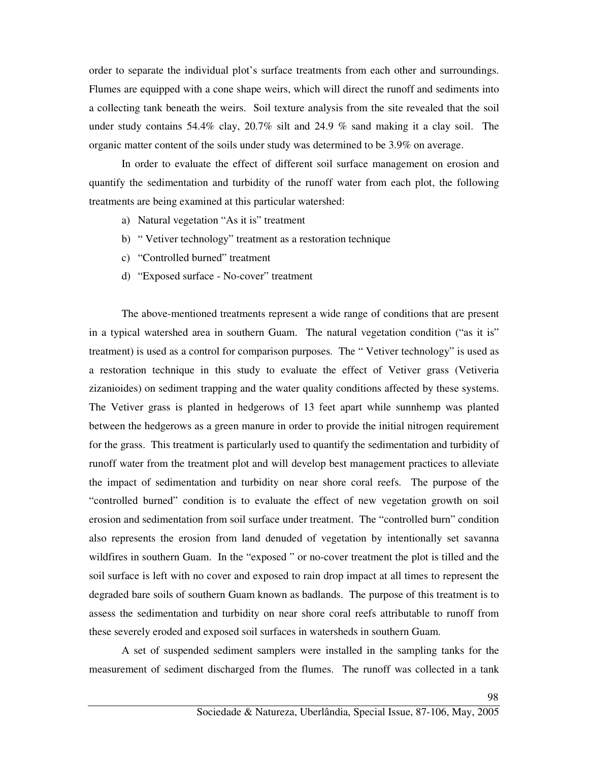order to separate the individual plot's surface treatments from each other and surroundings. Flumes are equipped with a cone shape weirs, which will direct the runoff and sediments into a collecting tank beneath the weirs. Soil texture analysis from the site revealed that the soil under study contains 54.4% clay, 20.7% silt and 24.9 % sand making it a clay soil. The organic matter content of the soils under study was determined to be 3.9% on average.

In order to evaluate the effect of different soil surface management on erosion and quantify the sedimentation and turbidity of the runoff water from each plot, the following treatments are being examined at this particular watershed:

- a) Natural vegetation "As it is" treatment
- b) " Vetiver technology" treatment as a restoration technique
- c) "Controlled burned" treatment
- d) "Exposed surface No-cover" treatment

The above-mentioned treatments represent a wide range of conditions that are present in a typical watershed area in southern Guam. The natural vegetation condition ("as it is" treatment) is used as a control for comparison purposes. The " Vetiver technology" is used as a restoration technique in this study to evaluate the effect of Vetiver grass (Vetiveria zizanioides) on sediment trapping and the water quality conditions affected by these systems. The Vetiver grass is planted in hedgerows of 13 feet apart while sunnhemp was planted between the hedgerows as a green manure in order to provide the initial nitrogen requirement for the grass. This treatment is particularly used to quantify the sedimentation and turbidity of runoff water from the treatment plot and will develop best management practices to alleviate the impact of sedimentation and turbidity on near shore coral reefs. The purpose of the "controlled burned" condition is to evaluate the effect of new vegetation growth on soil erosion and sedimentation from soil surface under treatment. The "controlled burn" condition also represents the erosion from land denuded of vegetation by intentionally set savanna wildfires in southern Guam. In the "exposed " or no-cover treatment the plot is tilled and the soil surface is left with no cover and exposed to rain drop impact at all times to represent the degraded bare soils of southern Guam known as badlands. The purpose of this treatment is to assess the sedimentation and turbidity on near shore coral reefs attributable to runoff from these severely eroded and exposed soil surfaces in watersheds in southern Guam.

 A set of suspended sediment samplers were installed in the sampling tanks for the measurement of sediment discharged from the flumes. The runoff was collected in a tank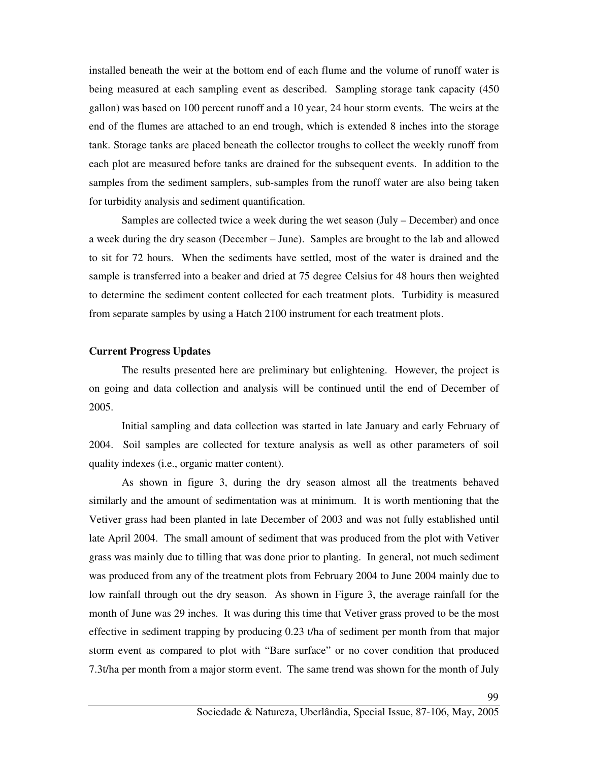installed beneath the weir at the bottom end of each flume and the volume of runoff water is being measured at each sampling event as described. Sampling storage tank capacity (450 gallon) was based on 100 percent runoff and a 10 year, 24 hour storm events. The weirs at the end of the flumes are attached to an end trough, which is extended 8 inches into the storage tank. Storage tanks are placed beneath the collector troughs to collect the weekly runoff from each plot are measured before tanks are drained for the subsequent events. In addition to the samples from the sediment samplers, sub-samples from the runoff water are also being taken for turbidity analysis and sediment quantification.

Samples are collected twice a week during the wet season (July – December) and once a week during the dry season (December – June). Samples are brought to the lab and allowed to sit for 72 hours. When the sediments have settled, most of the water is drained and the sample is transferred into a beaker and dried at 75 degree Celsius for 48 hours then weighted to determine the sediment content collected for each treatment plots. Turbidity is measured from separate samples by using a Hatch 2100 instrument for each treatment plots.

#### **Current Progress Updates**

 The results presented here are preliminary but enlightening. However, the project is on going and data collection and analysis will be continued until the end of December of 2005.

Initial sampling and data collection was started in late January and early February of 2004. Soil samples are collected for texture analysis as well as other parameters of soil quality indexes (i.e., organic matter content).

 As shown in figure 3, during the dry season almost all the treatments behaved similarly and the amount of sedimentation was at minimum. It is worth mentioning that the Vetiver grass had been planted in late December of 2003 and was not fully established until late April 2004. The small amount of sediment that was produced from the plot with Vetiver grass was mainly due to tilling that was done prior to planting. In general, not much sediment was produced from any of the treatment plots from February 2004 to June 2004 mainly due to low rainfall through out the dry season. As shown in Figure 3, the average rainfall for the month of June was 29 inches. It was during this time that Vetiver grass proved to be the most effective in sediment trapping by producing 0.23 t/ha of sediment per month from that major storm event as compared to plot with "Bare surface" or no cover condition that produced 7.3t/ha per month from a major storm event. The same trend was shown for the month of July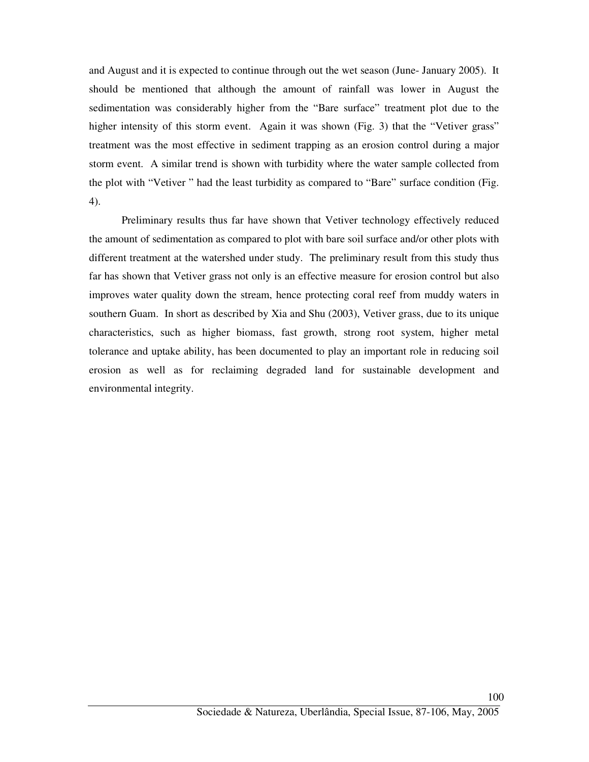and August and it is expected to continue through out the wet season (June- January 2005). It should be mentioned that although the amount of rainfall was lower in August the sedimentation was considerably higher from the "Bare surface" treatment plot due to the higher intensity of this storm event. Again it was shown (Fig. 3) that the "Vetiver grass" treatment was the most effective in sediment trapping as an erosion control during a major storm event. A similar trend is shown with turbidity where the water sample collected from the plot with "Vetiver " had the least turbidity as compared to "Bare" surface condition (Fig. 4).

Preliminary results thus far have shown that Vetiver technology effectively reduced the amount of sedimentation as compared to plot with bare soil surface and/or other plots with different treatment at the watershed under study. The preliminary result from this study thus far has shown that Vetiver grass not only is an effective measure for erosion control but also improves water quality down the stream, hence protecting coral reef from muddy waters in southern Guam. In short as described by Xia and Shu (2003), Vetiver grass, due to its unique characteristics, such as higher biomass, fast growth, strong root system, higher metal tolerance and uptake ability, has been documented to play an important role in reducing soil erosion as well as for reclaiming degraded land for sustainable development and environmental integrity.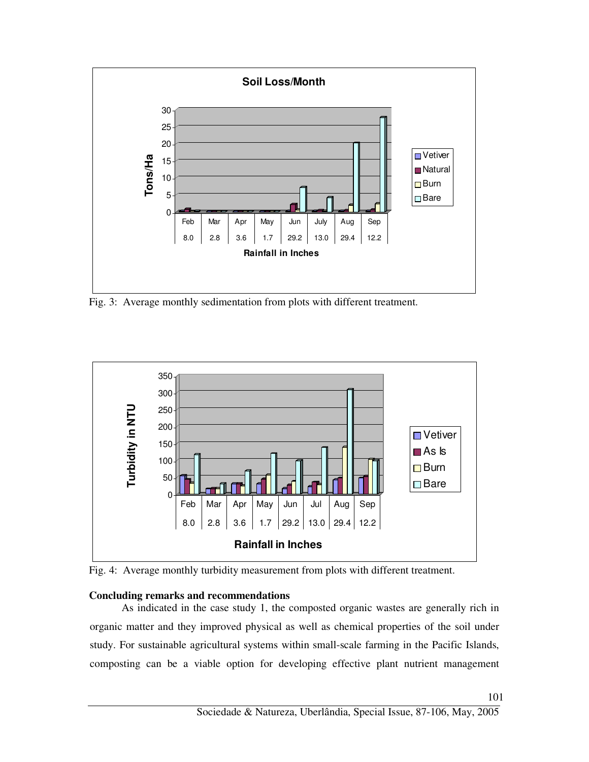

Fig. 3: Average monthly sedimentation from plots with different treatment.



Fig. 4: Average monthly turbidity measurement from plots with different treatment.

## **Concluding remarks and recommendations**

 As indicated in the case study 1, the composted organic wastes are generally rich in organic matter and they improved physical as well as chemical properties of the soil under study. For sustainable agricultural systems within small-scale farming in the Pacific Islands, composting can be a viable option for developing effective plant nutrient management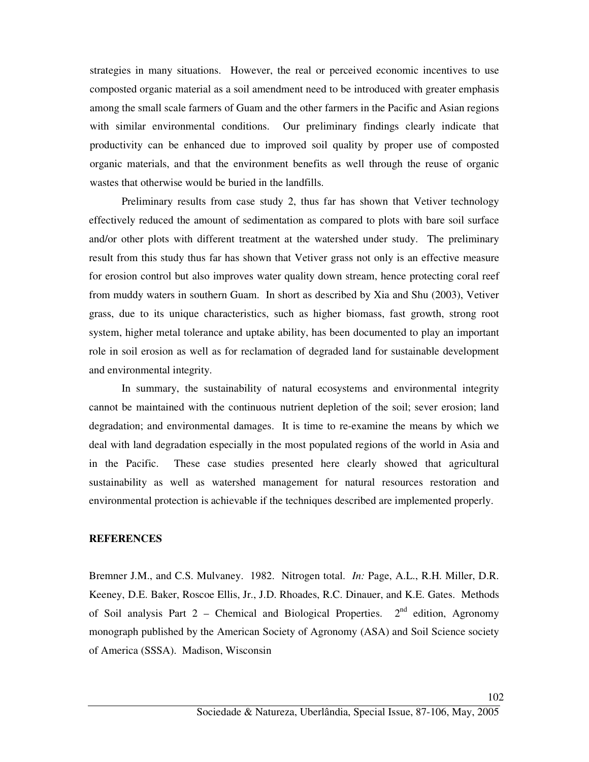strategies in many situations. However, the real or perceived economic incentives to use composted organic material as a soil amendment need to be introduced with greater emphasis among the small scale farmers of Guam and the other farmers in the Pacific and Asian regions with similar environmental conditions. Our preliminary findings clearly indicate that productivity can be enhanced due to improved soil quality by proper use of composted organic materials, and that the environment benefits as well through the reuse of organic wastes that otherwise would be buried in the landfills.

Preliminary results from case study 2, thus far has shown that Vetiver technology effectively reduced the amount of sedimentation as compared to plots with bare soil surface and/or other plots with different treatment at the watershed under study. The preliminary result from this study thus far has shown that Vetiver grass not only is an effective measure for erosion control but also improves water quality down stream, hence protecting coral reef from muddy waters in southern Guam. In short as described by Xia and Shu (2003), Vetiver grass, due to its unique characteristics, such as higher biomass, fast growth, strong root system, higher metal tolerance and uptake ability, has been documented to play an important role in soil erosion as well as for reclamation of degraded land for sustainable development and environmental integrity.

In summary, the sustainability of natural ecosystems and environmental integrity cannot be maintained with the continuous nutrient depletion of the soil; sever erosion; land degradation; and environmental damages. It is time to re-examine the means by which we deal with land degradation especially in the most populated regions of the world in Asia and in the Pacific. These case studies presented here clearly showed that agricultural sustainability as well as watershed management for natural resources restoration and environmental protection is achievable if the techniques described are implemented properly.

#### **REFERENCES**

Bremner J.M., and C.S. Mulvaney. 1982. Nitrogen total. *In:* Page, A.L., R.H. Miller, D.R. Keeney, D.E. Baker, Roscoe Ellis, Jr., J.D. Rhoades, R.C. Dinauer, and K.E. Gates. Methods of Soil analysis Part 2 – Chemical and Biological Properties.  $2<sup>nd</sup>$  edition, Agronomy monograph published by the American Society of Agronomy (ASA) and Soil Science society of America (SSSA). Madison, Wisconsin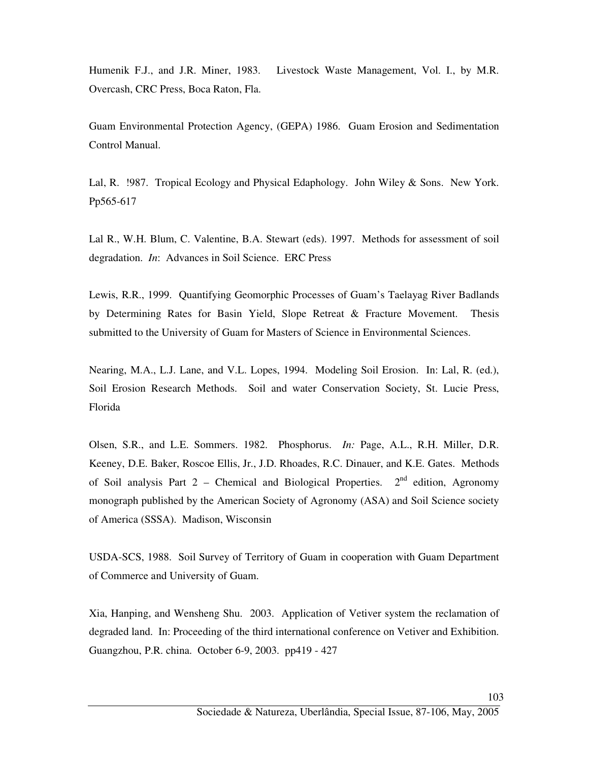Humenik F.J., and J.R. Miner, 1983. Livestock Waste Management, Vol. I., by M.R. Overcash, CRC Press, Boca Raton, Fla.

Guam Environmental Protection Agency, (GEPA) 1986. Guam Erosion and Sedimentation Control Manual.

Lal, R. !987. Tropical Ecology and Physical Edaphology. John Wiley & Sons. New York. Pp565-617

Lal R., W.H. Blum, C. Valentine, B.A. Stewart (eds). 1997. Methods for assessment of soil degradation. *In*: Advances in Soil Science. ERC Press

Lewis, R.R., 1999. Quantifying Geomorphic Processes of Guam's Taelayag River Badlands by Determining Rates for Basin Yield, Slope Retreat & Fracture Movement. Thesis submitted to the University of Guam for Masters of Science in Environmental Sciences.

Nearing, M.A., L.J. Lane, and V.L. Lopes, 1994. Modeling Soil Erosion. In: Lal, R. (ed.), Soil Erosion Research Methods. Soil and water Conservation Society, St. Lucie Press, Florida

Olsen, S.R., and L.E. Sommers. 1982. Phosphorus. *In:* Page, A.L., R.H. Miller, D.R. Keeney, D.E. Baker, Roscoe Ellis, Jr., J.D. Rhoades, R.C. Dinauer, and K.E. Gates. Methods of Soil analysis Part 2 – Chemical and Biological Properties.  $2<sup>nd</sup>$  edition, Agronomy monograph published by the American Society of Agronomy (ASA) and Soil Science society of America (SSSA). Madison, Wisconsin

USDA-SCS, 1988. Soil Survey of Territory of Guam in cooperation with Guam Department of Commerce and University of Guam.

Xia, Hanping, and Wensheng Shu. 2003. Application of Vetiver system the reclamation of degraded land. In: Proceeding of the third international conference on Vetiver and Exhibition. Guangzhou, P.R. china. October 6-9, 2003. pp419 - 427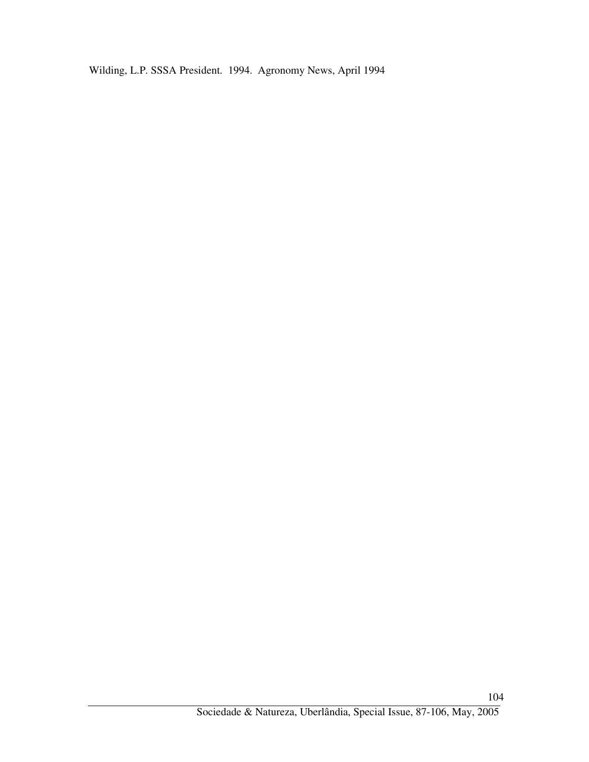Wilding, L.P. SSSA President. 1994. Agronomy News, April 1994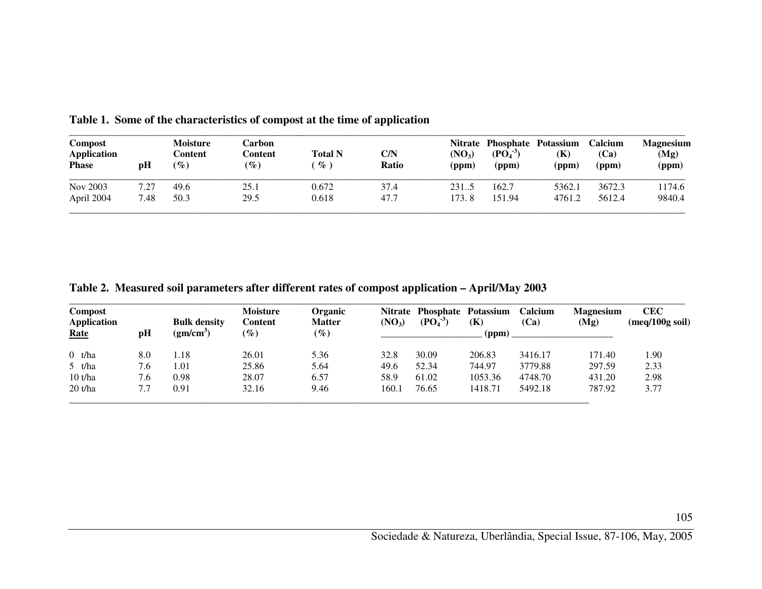| <b>Compost</b><br><b>Application</b><br><b>Phase</b> | рH   | <b>Moisture</b><br>Content<br>$\mathcal{O}_\mathcal{O}$ | Carbon<br>Content<br>$\mathscr{G}_o$ | <b>Total N</b><br>$\%$ | $\mathbf{C}/\mathbf{N}$<br>Ratio | Nitrate<br>(NO <sub>3</sub> )<br>(ppm) | Phosphate<br>$(\mathbf{P}\mathbf{O}_4)^3$<br>(ppm) | Potassium<br>(K)<br>(ppm) | Calcium<br>(Ca)<br>(ppm) | <b>Magnesium</b><br>(Mg)<br>(ppm) |
|------------------------------------------------------|------|---------------------------------------------------------|--------------------------------------|------------------------|----------------------------------|----------------------------------------|----------------------------------------------------|---------------------------|--------------------------|-----------------------------------|
| Nov 2003                                             | 7.27 | 49.6                                                    | 25.1                                 | 0.672                  | 37.4                             | 2315                                   | 162.7                                              | 5362.1                    | 3672.3                   | 1174.6                            |
| April 2004                                           | 7.48 | 50.3                                                    | 29.5                                 | 0.618                  | 47.7                             | 173.8                                  | 151.94                                             | 4761.2                    | 5612.4                   | 9840.4                            |

**Table 1. Some of the characteristics of compost at the time of application** 

**Table 2. Measured soil parameters after different rates of compost application – April/May 2003** 

| Compost<br><b>Application</b><br><u>Rate</u> | pH  | <b>Bulk density</b><br>(gm/cm <sup>3</sup> ) | <b>Moisture</b><br>Content<br>$(\%)$ | Organic<br><b>Matter</b><br>$(\%)$ | <b>Nitrate</b><br>(NO <sub>3</sub> ) | <b>Phosphate</b><br>$(PO_{4}^{5})$ | Potassium<br>(K)<br>(ppm) | Calcium<br>(Ca) | <b>Magnesium</b><br>(Mg) | <b>CEC</b><br>$(\text{meq}/100\text{g soil})$ |
|----------------------------------------------|-----|----------------------------------------------|--------------------------------------|------------------------------------|--------------------------------------|------------------------------------|---------------------------|-----------------|--------------------------|-----------------------------------------------|
| $0$ t/ha                                     | 8.0 | l.18                                         | 26.01                                | 5.36                               | 32.8                                 | 30.09                              | 206.83                    | 3416.17         | 171.40                   | 1.90                                          |
| 5 $t/ha$                                     | 7.6 | 1.01                                         | 25.86                                | 5.64                               | 49.6                                 | 52.34                              | 744.97                    | 3779.88         | 297.59                   | 2.33                                          |
| $10$ t/ha                                    | 7.6 | 0.98                                         | 28.07                                | 6.57                               | 58.9                                 | 61.02                              | 1053.36                   | 4748.70         | 431.20                   | 2.98                                          |
| $20$ t/ha                                    | 7.7 | 0.91                                         | 32.16                                | 9.46                               | 160.1                                | 76.65                              | 1418.71                   | 5492.18         | 787.92                   | 3.77                                          |